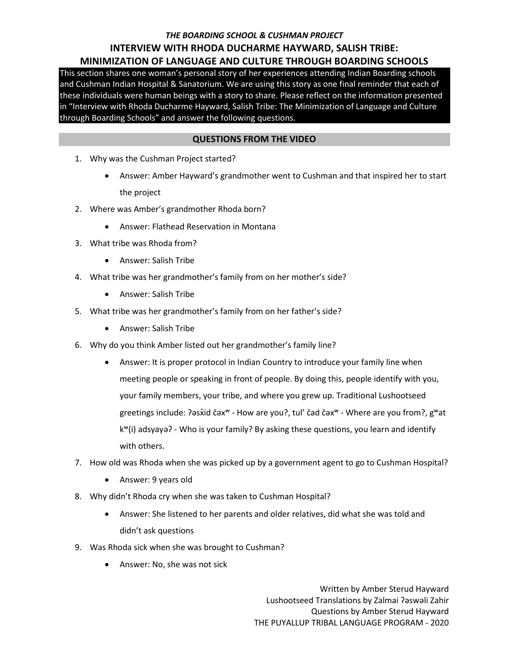# *THE BOARDING SCHOOL & CUSHMAN PROJECT* **INTERVIEW WITH RHODA DUCHARME HAYWARD, SALISH TRIBE: MINIMIZATION OF LANGUAGE AND CULTURE THROUGH BOARDING SCHOOLS**

This section shares one woman's personal story of her experiences attending Indian Boarding schools and Cushman Indian Hospital & Sanatorium. We are using this story as one final reminder that each of these individuals were human beings with a story to share. Please reflect on the information presented in "Interview with Rhoda Ducharme Hayward, Salish Tribe: The Minimization of Language and Culture through Boarding Schools" and answer the following questions.

### **QUESTIONS FROM THE VIDEO**

- 1. Why was the Cushman Project started?
	- Answer: Amber Hayward's grandmother went to Cushman and that inspired her to start the project
- 2. Where was Amber's grandmother Rhoda born?
	- Answer: Flathead Reservation in Montana
- 3. What tribe was Rhoda from?
	- Answer: Salish Tribe
- 4. What tribe was her grandmother's family from on her mother's side?
	- Answer: Salish Tribe
- 5. What tribe was her grandmother's family from on her father's side?
	- Answer: Salish Tribe
- 6. Why do you think Amber listed out her grandmother's family line?
	- Answer: It is proper protocol in Indian Country to introduce your family line when meeting people or speaking in front of people. By doing this, people identify with you, your family members, your tribe, and where you grew up. Traditional Lushootseed greetings include: ʔəsx̌id čəx<sup>w</sup> - How are you?, tul' čad čəx<sup>w</sup> - Where are you from?, g<sup>w</sup>at kʷ(i) adsyayəʔ - Who is your family? By asking these questions, you learn and identify with others.
- 7. How old was Rhoda when she was picked up by a government agent to go to Cushman Hospital?
	- Answer: 9 years old
- 8. Why didn't Rhoda cry when she was taken to Cushman Hospital?
	- Answer: She listened to her parents and older relatives, did what she was told and didn't ask questions
- 9. Was Rhoda sick when she was brought to Cushman?
	- Answer: No, she was not sick

Written by Amber Sterud Hayward Lushootseed Translations by Zalmai ʔəswəli Zahir Questions by Amber Sterud Hayward THE PUYALLUP TRIBAL LANGUAGE PROGRAM - 2020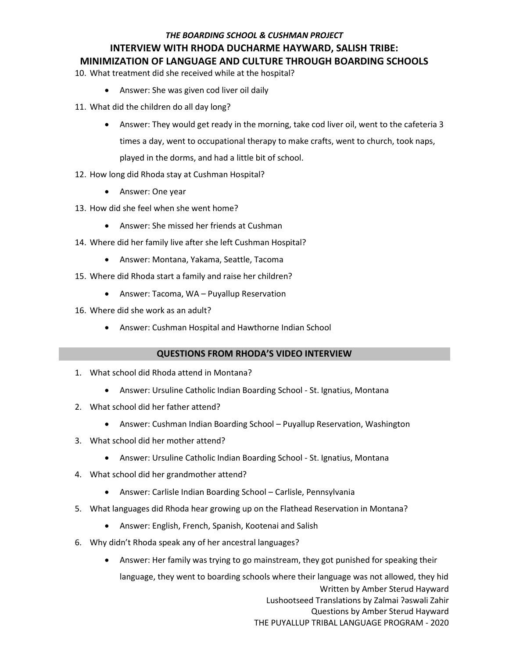# *THE BOARDING SCHOOL & CUSHMAN PROJECT* **INTERVIEW WITH RHODA DUCHARME HAYWARD, SALISH TRIBE: MINIMIZATION OF LANGUAGE AND CULTURE THROUGH BOARDING SCHOOLS**

## 10. What treatment did she received while at the hospital?

- Answer: She was given cod liver oil daily
- 11. What did the children do all day long?
	- Answer: They would get ready in the morning, take cod liver oil, went to the cafeteria 3 times a day, went to occupational therapy to make crafts, went to church, took naps, played in the dorms, and had a little bit of school.
- 12. How long did Rhoda stay at Cushman Hospital?
	- Answer: One year
- 13. How did she feel when she went home?
	- Answer: She missed her friends at Cushman
- 14. Where did her family live after she left Cushman Hospital?
	- Answer: Montana, Yakama, Seattle, Tacoma
- 15. Where did Rhoda start a family and raise her children?
	- Answer: Tacoma, WA Puyallup Reservation
- 16. Where did she work as an adult?
	- Answer: Cushman Hospital and Hawthorne Indian School

## **QUESTIONS FROM RHODA'S VIDEO INTERVIEW**

- 1. What school did Rhoda attend in Montana?
	- Answer: Ursuline Catholic Indian Boarding School St. Ignatius, Montana
- 2. What school did her father attend?
	- Answer: Cushman Indian Boarding School Puyallup Reservation, Washington
- 3. What school did her mother attend?
	- Answer: Ursuline Catholic Indian Boarding School St. Ignatius, Montana
- 4. What school did her grandmother attend?
	- Answer: Carlisle Indian Boarding School Carlisle, Pennsylvania
- 5. What languages did Rhoda hear growing up on the Flathead Reservation in Montana?
	- Answer: English, French, Spanish, Kootenai and Salish
- 6. Why didn't Rhoda speak any of her ancestral languages?
	- Written by Amber Sterud Hayward Lushootseed Translations by Zalmai ʔəswəli Zahir Questions by Amber Sterud Hayward Answer: Her family was trying to go mainstream, they got punished for speaking their language, they went to boarding schools where their language was not allowed, they hid

THE PUYALLUP TRIBAL LANGUAGE PROGRAM - 2020